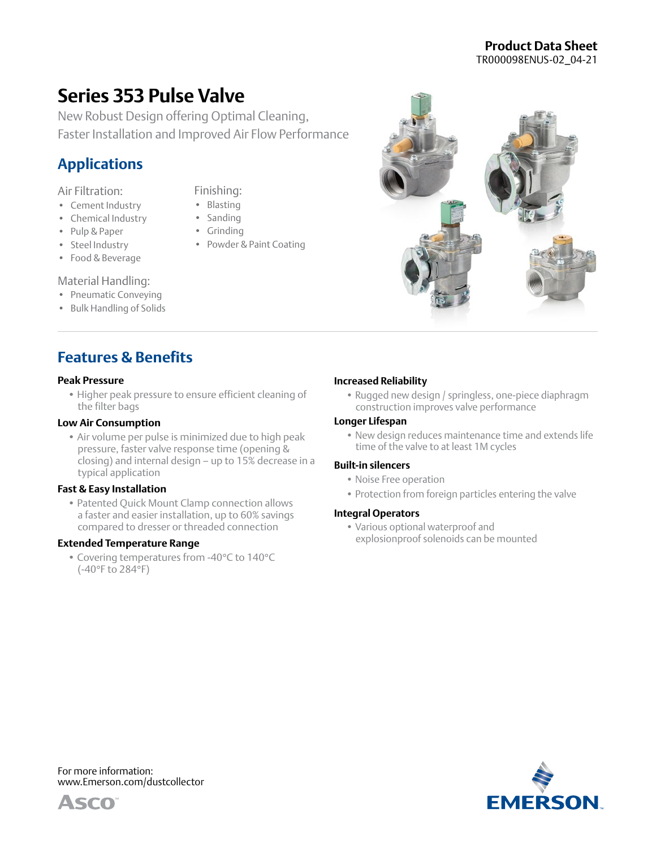## **Product Data Sheet** TR000098ENUS-02\_04-21

# **Series 353 Pulse Valve**

New Robust Design offering Optimal Cleaning, Faster Installation and Improved Air Flow Performance

> Finishing: • Blasting • Sanding • Grinding

• Powder & Paint Coating

# **Applications**

### Air Filtration:

- Cement Industry
- Chemical Industry
- Pulp & Paper
- Steel Industry
- Food & Beverage

#### Material Handling:

- Pneumatic Conveying
- Bulk Handling of Solids

## **Features & Benefits**

#### **Peak Pressure**

• Higher peak pressure to ensure efficient cleaning of the filter bags

#### **Low Air Consumption**

• Air volume per pulse is minimized due to high peak pressure, faster valve response time (opening & closing) and internal design – up to 15% decrease in a typical application

#### **Fast & Easy Installation**

• Patented Quick Mount Clamp connection allows a faster and easier installation, up to 60% savings compared to dresser or threaded connection

#### **Extended Temperature Range**

• Covering temperatures from -40°C to 140°C (-40°F to 284°F)

## **Increased Reliability**

• Rugged new design / springless, one-piece diaphragm construction improves valve performance

#### **Longer Lifespan**

• New design reduces maintenance time and extends life time of the valve to at least 1M cycles

#### **Built-in silencers**

- Noise Free operation
- Protection from foreign particles entering the valve

#### **Integral Operators**

• Various optional waterproof and explosionproof solenoids can be mounted



For more information: [www.Emerson.com/dustcollector](http://www.Emerson.com/dustcollector)